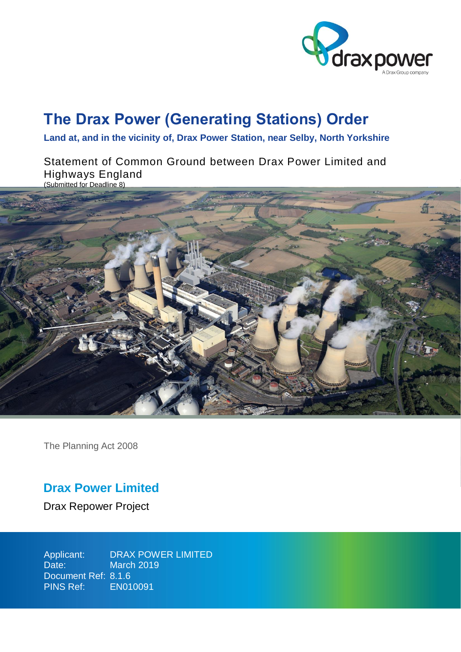

# **The Drax Power (Generating Stations) Order**

**Land at, and in the vicinity of, Drax Power Station, near Selby, North Yorkshire**

Statement of Common Ground between Drax Power Limited and Highways England (Submitted for Deadline 8)



The Planning Act 2008

## **Drax Power Limited**

Drax Repower Project

Applicant: Date: Document Ref: 8.1.6 PINS Ref: EN010091 DRAX POWER LIMITED March 2019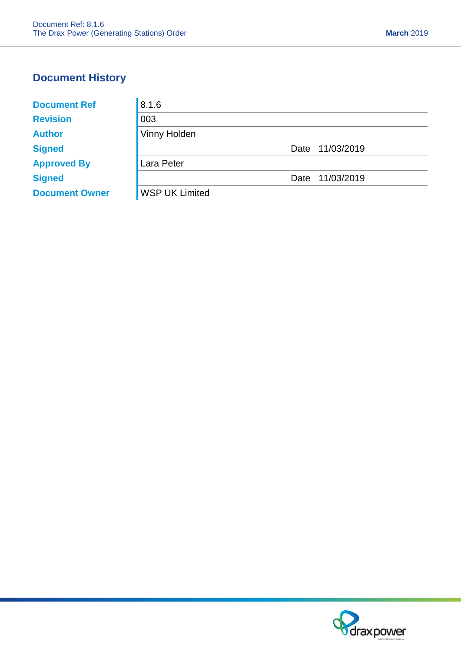## **Document History**

| <b>Document Ref</b>   | 8.1.6                 |  |
|-----------------------|-----------------------|--|
| <b>Revision</b>       | 003                   |  |
| <b>Author</b>         | Vinny Holden          |  |
| <b>Signed</b>         | 11/03/2019<br>Date    |  |
| <b>Approved By</b>    | Lara Peter            |  |
| <b>Signed</b>         | 11/03/2019<br>Date    |  |
| <b>Document Owner</b> | <b>WSP UK Limited</b> |  |

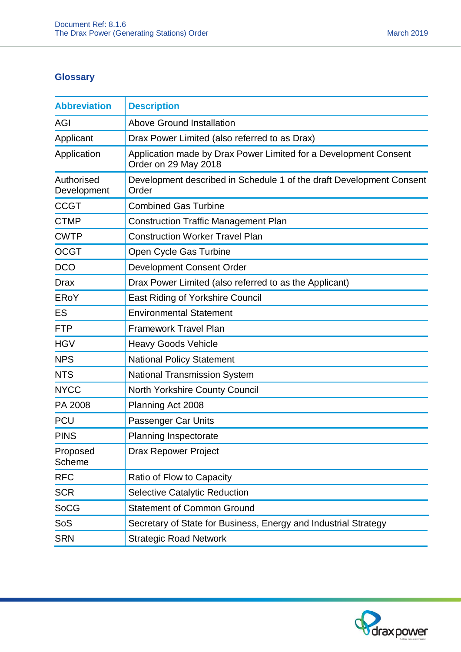## **Glossary**

| <b>Abbreviation</b>       | <b>Description</b>                                                                       |  |
|---------------------------|------------------------------------------------------------------------------------------|--|
| <b>AGI</b>                | <b>Above Ground Installation</b>                                                         |  |
| Applicant                 | Drax Power Limited (also referred to as Drax)                                            |  |
| Application               | Application made by Drax Power Limited for a Development Consent<br>Order on 29 May 2018 |  |
| Authorised<br>Development | Development described in Schedule 1 of the draft Development Consent<br>Order            |  |
| <b>CCGT</b>               | <b>Combined Gas Turbine</b>                                                              |  |
| <b>CTMP</b>               | <b>Construction Traffic Management Plan</b>                                              |  |
| <b>CWTP</b>               | <b>Construction Worker Travel Plan</b>                                                   |  |
| <b>OCGT</b>               | Open Cycle Gas Turbine                                                                   |  |
| <b>DCO</b>                | <b>Development Consent Order</b>                                                         |  |
| <b>Drax</b>               | Drax Power Limited (also referred to as the Applicant)                                   |  |
| ERoY                      | <b>East Riding of Yorkshire Council</b>                                                  |  |
| ES                        | <b>Environmental Statement</b>                                                           |  |
| <b>FTP</b>                | <b>Framework Travel Plan</b>                                                             |  |
| <b>HGV</b>                | <b>Heavy Goods Vehicle</b>                                                               |  |
| <b>NPS</b>                | <b>National Policy Statement</b>                                                         |  |
| <b>NTS</b>                | <b>National Transmission System</b>                                                      |  |
| <b>NYCC</b>               | North Yorkshire County Council                                                           |  |
| PA 2008                   | Planning Act 2008                                                                        |  |
| <b>PCU</b>                | Passenger Car Units                                                                      |  |
| <b>PINS</b>               | <b>Planning Inspectorate</b>                                                             |  |
| Proposed<br>Scheme        | <b>Drax Repower Project</b>                                                              |  |
| <b>RFC</b>                | Ratio of Flow to Capacity                                                                |  |
| <b>SCR</b>                | <b>Selective Catalytic Reduction</b>                                                     |  |
| <b>SoCG</b>               | <b>Statement of Common Ground</b>                                                        |  |
| SoS                       | Secretary of State for Business, Energy and Industrial Strategy                          |  |
| <b>SRN</b>                | <b>Strategic Road Network</b>                                                            |  |

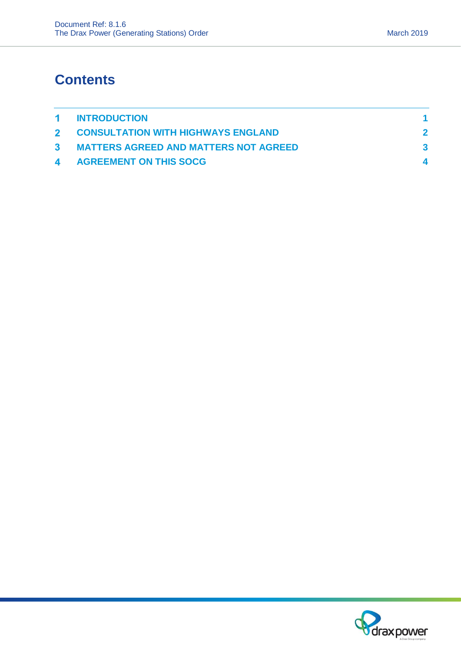# **Contents**

| 1 INTRODUCTION                          |  |
|-----------------------------------------|--|
| 2 CONSULTATION WITH HIGHWAYS ENGLAND    |  |
| 3 MATTERS AGREED AND MATTERS NOT AGREED |  |
| <b>4 AGREEMENT ON THIS SOCG</b>         |  |

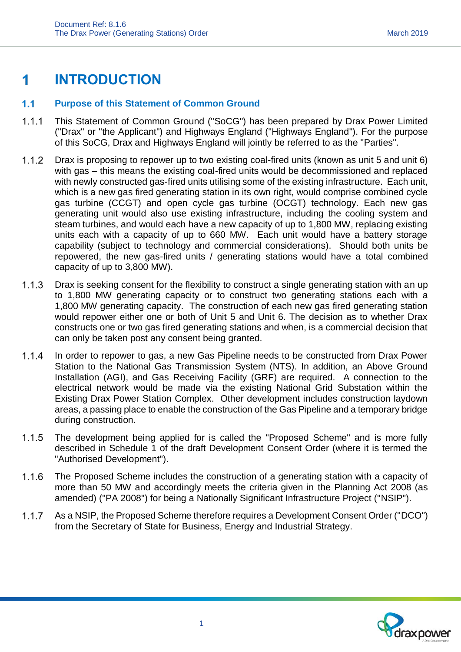## <span id="page-4-0"></span>**INTRODUCTION** 1

#### $1.1$ **Purpose of this Statement of Common Ground**

- $1.1.1$ This Statement of Common Ground ("SoCG") has been prepared by Drax Power Limited ("Drax" or "the Applicant") and Highways England ("Highways England"). For the purpose of this SoCG, Drax and Highways England will jointly be referred to as the "Parties".
- $1.1.2$ Drax is proposing to repower up to two existing coal-fired units (known as unit 5 and unit 6) with gas – this means the existing coal-fired units would be decommissioned and replaced with newly constructed gas-fired units utilising some of the existing infrastructure. Each unit, which is a new gas fired generating station in its own right, would comprise combined cycle gas turbine (CCGT) and open cycle gas turbine (OCGT) technology. Each new gas generating unit would also use existing infrastructure, including the cooling system and steam turbines, and would each have a new capacity of up to 1,800 MW, replacing existing units each with a capacity of up to 660 MW. Each unit would have a battery storage capability (subject to technology and commercial considerations). Should both units be repowered, the new gas-fired units / generating stations would have a total combined capacity of up to 3,800 MW).
- $113$ Drax is seeking consent for the flexibility to construct a single generating station with an up to 1,800 MW generating capacity or to construct two generating stations each with a 1,800 MW generating capacity. The construction of each new gas fired generating station would repower either one or both of Unit 5 and Unit 6. The decision as to whether Drax constructs one or two gas fired generating stations and when, is a commercial decision that can only be taken post any consent being granted.
- $1.1.4$ In order to repower to gas, a new Gas Pipeline needs to be constructed from Drax Power Station to the National Gas Transmission System (NTS). In addition, an Above Ground Installation (AGI), and Gas Receiving Facility (GRF) are required. A connection to the electrical network would be made via the existing National Grid Substation within the Existing Drax Power Station Complex. Other development includes construction laydown areas, a passing place to enable the construction of the Gas Pipeline and a temporary bridge during construction.
- $1.1.5$ The development being applied for is called the "Proposed Scheme" and is more fully described in Schedule 1 of the draft Development Consent Order (where it is termed the "Authorised Development").
- $1.1.6$ The Proposed Scheme includes the construction of a generating station with a capacity of more than 50 MW and accordingly meets the criteria given in the Planning Act 2008 (as amended) ("PA 2008") for being a Nationally Significant Infrastructure Project ("NSIP").
- $1.1.7$ As a NSIP, the Proposed Scheme therefore requires a Development Consent Order ("DCO") from the Secretary of State for Business, Energy and Industrial Strategy.

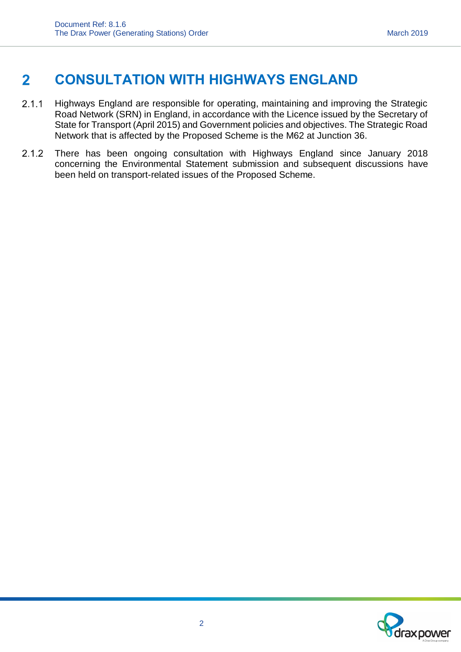### <span id="page-5-0"></span>**CONSULTATION WITH HIGHWAYS ENGLAND**  $\mathbf{2}$

- $2.1.1$ Highways England are responsible for operating, maintaining and improving the Strategic Road Network (SRN) in England, in accordance with the Licence issued by the Secretary of State for Transport (April 2015) and Government policies and objectives. The Strategic Road Network that is affected by the Proposed Scheme is the M62 at Junction 36.
- $2.1.2$ There has been ongoing consultation with Highways England since January 2018 concerning the Environmental Statement submission and subsequent discussions have been held on transport-related issues of the Proposed Scheme.

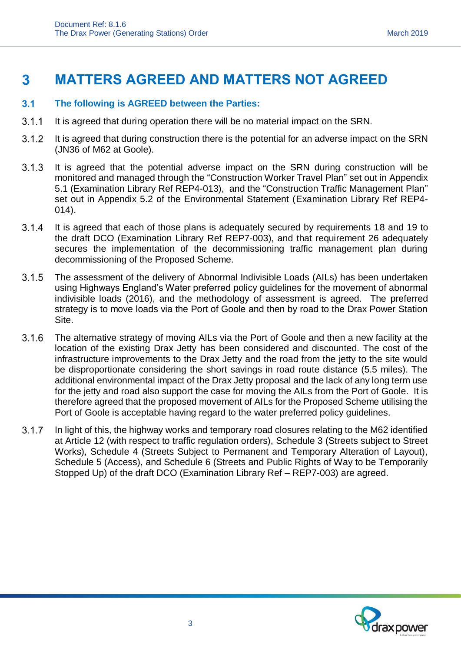### <span id="page-6-0"></span> $\mathbf{3}$ **MATTERS AGREED AND MATTERS NOT AGREED**

#### $3.1$ **The following is AGREED between the Parties:**

- $3.1.1$ It is agreed that during operation there will be no material impact on the SRN.
- $3.1.2$ It is agreed that during construction there is the potential for an adverse impact on the SRN (JN36 of M62 at Goole).
- $3.1.3$ It is agreed that the potential adverse impact on the SRN during construction will be monitored and managed through the "Construction Worker Travel Plan" set out in Appendix 5.1 (Examination Library Ref REP4-013), and the "Construction Traffic Management Plan" set out in Appendix 5.2 of the Environmental Statement (Examination Library Ref REP4- 014).
- $3.1.4$ It is agreed that each of those plans is adequately secured by requirements 18 and 19 to the draft DCO (Examination Library Ref REP7-003), and that requirement 26 adequately secures the implementation of the decommissioning traffic management plan during decommissioning of the Proposed Scheme.
- $3.1.5$ The assessment of the delivery of Abnormal Indivisible Loads (AILs) has been undertaken using Highways England's Water preferred policy guidelines for the movement of abnormal indivisible loads (2016), and the methodology of assessment is agreed. The preferred strategy is to move loads via the Port of Goole and then by road to the Drax Power Station Site.
- $3.1.6$ The alternative strategy of moving AILs via the Port of Goole and then a new facility at the location of the existing Drax Jetty has been considered and discounted. The cost of the infrastructure improvements to the Drax Jetty and the road from the jetty to the site would be disproportionate considering the short savings in road route distance (5.5 miles). The additional environmental impact of the Drax Jetty proposal and the lack of any long term use for the jetty and road also support the case for moving the AILs from the Port of Goole. It is therefore agreed that the proposed movement of AILs for the Proposed Scheme utilising the Port of Goole is acceptable having regard to the water preferred policy guidelines.
- In light of this, the highway works and temporary road closures relating to the M62 identified  $3.1.7$ at Article 12 (with respect to traffic regulation orders), Schedule 3 (Streets subject to Street Works), Schedule 4 (Streets Subject to Permanent and Temporary Alteration of Layout), Schedule 5 (Access), and Schedule 6 (Streets and Public Rights of Way to be Temporarily Stopped Up) of the draft DCO (Examination Library Ref – REP7-003) are agreed.

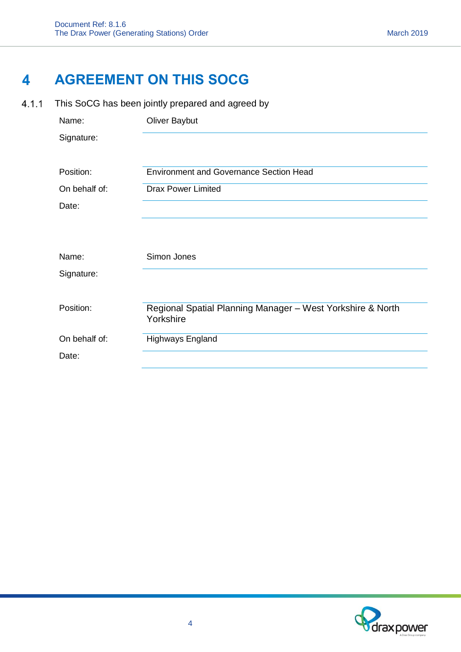## <span id="page-7-0"></span> $\overline{\mathbf{4}}$ **AGREEMENT ON THIS SOCG**

 $4.1.1$ This SoCG has been jointly prepared and agreed by

| Name:         | <b>Oliver Baybut</b>                                                    |
|---------------|-------------------------------------------------------------------------|
| Signature:    |                                                                         |
| Position:     | <b>Environment and Governance Section Head</b>                          |
| On behalf of: | <b>Drax Power Limited</b>                                               |
| Date:         |                                                                         |
| Name:         | Simon Jones                                                             |
| Signature:    |                                                                         |
| Position:     | Regional Spatial Planning Manager - West Yorkshire & North<br>Yorkshire |
| On behalf of: | Highways England                                                        |
| Date:         |                                                                         |